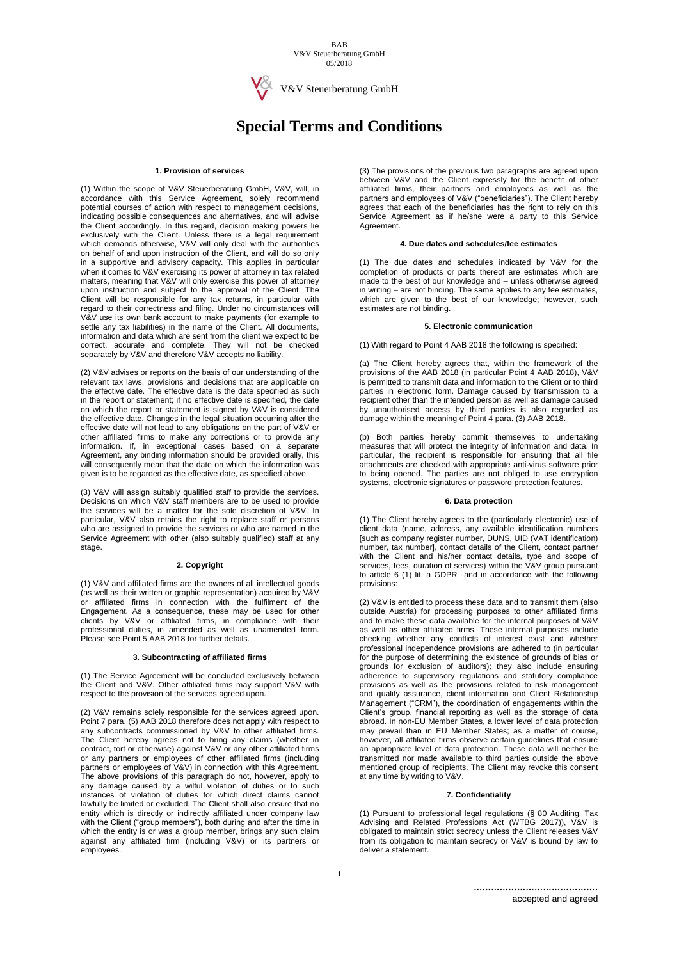BAB V&V Steuerberatung GmbH 05/2018



V&V Steuerberatung GmbH

# **Special Terms and Conditions**

## **1. Provision of services**

(1) Within the scope of V&V Steuerberatung GmbH, V&V, will, in accordance with this Service Agreement, solely recommend potential courses of action with respect to management decisions, indicating possible consequences and alternatives, and will advise the Client accordingly. In this regard, decision making powers lie exclusively with the Client. Unless there is a legal requirement which demands otherwise, V&V will only deal with the authorities on behalf of and upon instruction of the Client, and will do so only in a supportive and advisory capacity. This applies in particular when it comes to V&V exercising its power of attorney in tax related matters, meaning that V&V will only exercise this power of attorney upon instruction and subject to the approval of the Client. The Client will be responsible for any tax returns, in particular with regard to their correctness and filing. Under no circumstances will V&V use its own bank account to make payments (for example to settle any tax liabilities) in the name of the Client. All documents, information and data which are sent from the client we expect to be correct, accurate and complete. They will not be checked separately by V&V and therefore V&V accepts no liability.

(2) V&V advises or reports on the basis of our understanding of the relevant tax laws, provisions and decisions that are applicable on the effective date. The effective date is the date specified as such in the report or statement; if no effective date is specified, the date on which the report or statement is signed by V&V is considered the effective date. Changes in the legal situation occurring after the effective date will not lead to any obligations on the part of V&V or other affiliated firms to make any corrections or to provide any information. If, in exceptional cases based on a separate Agreement, any binding information should be provided orally, this will consequently mean that the date on which the information was given is to be regarded as the effective date, as specified above.

(3) V&V will assign suitably qualified staff to provide the services. Decisions on which V&V staff members are to be used to provide the services will be a matter for the sole discretion of V&V. In particular, V&V also retains the right to replace staff or persons who are assigned to provide the services or who are named in the Service Agreement with other (also suitably qualified) staff at any stage.

## **2. Copyright**

(1) V&V and affiliated firms are the owners of all intellectual goods (as well as their written or graphic representation) acquired by V&V or affiliated firms in connection with the fulfilment of the Engagement. As a consequence, these may be used for other clients by V&V or affiliated firms, in compliance with their professional duties, in amended as well as unamended form. Please see Point 5 AAB 2018 for further details.

## **3. Subcontracting of affiliated firms**

(1) The Service Agreement will be concluded exclusively between the Client and V&V. Other affiliated firms may support V&V with respect to the provision of the services agreed upon.

(2) V&V remains solely responsible for the services agreed upon. Point 7 para. (5) AAB 2018 therefore does not apply with respect to any subcontracts commissioned by V&V to other affiliated firms. The Client hereby agrees not to bring any claims (whether in contract, tort or otherwise) against V&V or any other affiliated firms or any partners or employees of other affiliated firms (including partners or employees of V&V) in connection with this Agreement. The above provisions of this paragraph do not, however, apply to any damage caused by a wilful violation of duties or to such instances of violation of duties for which direct claims cannot lawfully be limited or excluded. The Client shall also ensure that no entity which is directly or indirectly affiliated under company law with the Client ("group members"), both during and after the time in which the entity is or was a group member, brings any such claim against any affiliated firm (including V&V) or its partners or employees.

(3) The provisions of the previous two paragraphs are agreed upon between V&V and the Client expressly for the benefit of other affiliated firms, their partners and employees as well as the partners and employees of V&V ("beneficiaries"). The Client hereby agrees that each of the beneficiaries has the right to rely on this Service Agreement as if he/she were a party to this Service Agreement.

## **4. Due dates and schedules/fee estimates**

(1) The due dates and schedules indicated by V&V for the completion of products or parts thereof are estimates which are made to the best of our knowledge and – unless otherwise agreed in writing – are not binding. The same applies to any fee estimates, which are given to the best of our knowledge; however, such estimates are not binding.

#### **5. Electronic communication**

(1) With regard to Point 4 AAB 2018 the following is specified:

(a) The Client hereby agrees that, within the framework of the provisions of the AAB 2018 (in particular Point 4 AAB 2018), V&V is permitted to transmit data and information to the Client or to third parties in electronic form. Damage caused by transmission to a recipient other than the intended person as well as damage caused by unauthorised access by third parties is also regarded as damage within the meaning of Point 4 para. (3) AAB 2018.

(b) Both parties hereby commit themselves to undertaking measures that will protect the integrity of information and data. In particular, the recipient is responsible for ensuring that all file attachments are checked with appropriate anti-virus software prior to being opened. The parties are not obliged to use encryption systems, electronic signatures or password protection features.

#### **6. Data protection**

(1) The Client hereby agrees to the (particularly electronic) use of client data (name, address, any available identification numbers [such as company register number, DUNS, UID (VAT identification) number, tax number], contact details of the Client, contact partner with the Client and his/her contact details, type and scope of services, fees, duration of services) within the V&V group pursuant to article 6 (1) lit. a GDPR and in accordance with the following provisions:

(2) V&V is entitled to process these data and to transmit them (also outside Austria) for processing purposes to other affiliated firms and to make these data available for the internal purposes of V&V as well as other affiliated firms. These internal purposes include checking whether any conflicts of interest exist and whether professional independence provisions are adhered to (in particular for the purpose of determining the existence of grounds of bias or grounds for exclusion of auditors); they also include ensuring adherence to supervisory regulations and statutory compliance provisions as well as the provisions related to risk management and quality assurance, client information and Client Relationship Management ("CRM"), the coordination of engagements within the Client's group, financial reporting as well as the storage of data abroad. In non-EU Member States, a lower level of data protection may prevail than in EU Member States; as a matter of course, however, all affiliated firms observe certain guidelines that ensure an appropriate level of data protection. These data will neither be transmitted nor made available to third parties outside the above mentioned group of recipients. The Client may revoke this consent at any time by writing to V&V.

#### **7. Confidentiality**

(1) Pursuant to professional legal regulations (§ 80 Auditing, Tax Advising and Related Professions Act (WTBG 2017)), V&V is obligated to maintain strict secrecy unless the Client releases V&V from its obligation to maintain secrecy or V&V is bound by law to deliver a statement.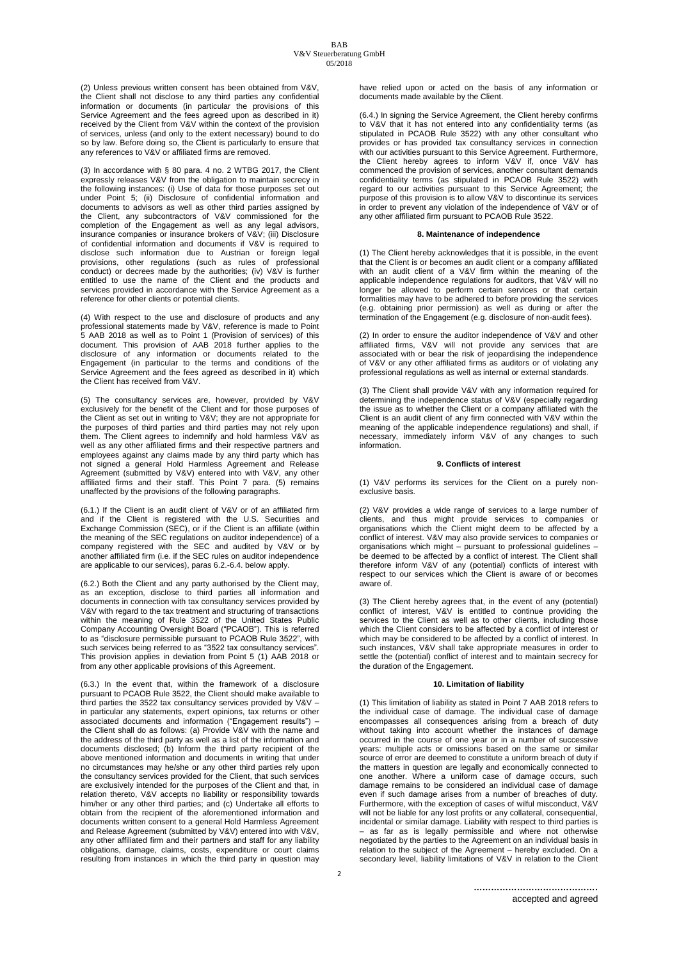(2) Unless previous written consent has been obtained from V&V, the Client shall not disclose to any third parties any confidential information or documents (in particular the provisions of this Service Agreement and the fees agreed upon as described in it) received by the Client from V&V within the context of the provision of services, unless (and only to the extent necessary) bound to do so by law. Before doing so, the Client is particularly to ensure that any references to V&V or affiliated firms are removed.

(3) In accordance with § 80 para. 4 no. 2 WTBG 2017, the Client expressly releases V&V from the obligation to maintain secrecy in the following instances: (i) Use of data for those purposes set out under Point 5; (ii) Disclosure of confidential information and documents to advisors as well as other third parties assigned by the Client, any subcontractors of V&V commissioned for the completion of the Engagement as well as any legal advisors, insurance companies or insurance brokers of V&V; (iii) Disclosure of confidential information and documents if V&V is required to disclose such information due to Austrian or foreign legal provisions, other regulations (such as rules of professional conduct) or decrees made by the authorities; (iv) V&V is further entitled to use the name of the Client and the products and services provided in accordance with the Service Agreement as a reference for other clients or potential clients.

(4) With respect to the use and disclosure of products and any professional statements made by V&V, reference is made to Point 5 AAB 2018 as well as to Point 1 (Provision of services) of this document. This provision of AAB 2018 further applies to the disclosure of any information or documents related to the Engagement (in particular to the terms and conditions of the Service Agreement and the fees agreed as described in it) which the Client has received from V&V.

(5) The consultancy services are, however, provided by V&V exclusively for the benefit of the Client and for those purposes of the Client as set out in writing to V&V; they are not appropriate for the purposes of third parties and third parties may not rely upon them. The Client agrees to indemnify and hold harmless V&V as well as any other affiliated firms and their respective partners and employees against any claims made by any third party which has not signed a general Hold Harmless Agreement and Release Agreement (submitted by V&V) entered into with V&V, any other affiliated firms and their staff. This Point 7 para. (5) remains unaffected by the provisions of the following paragraphs.

(6.1.) If the Client is an audit client of V&V or of an affiliated firm and if the Client is registered with the U.S. Securities and Exchange Commission (SEC), or if the Client is an affiliate (within the meaning of the SEC regulations on auditor independence) of a company registered with the SEC and audited by V&V or by another affiliated firm (i.e. if the SEC rules on auditor independence are applicable to our services), paras 6.2.-6.4. below apply.

(6.2.) Both the Client and any party authorised by the Client may, as an exception, disclose to third parties all information and documents in connection with tax consultancy services provided by V&V with regard to the tax treatment and structuring of transactions within the meaning of Rule 3522 of the United States Public Company Accounting Oversight Board ("PCAOB"). This is referred to as "disclosure permissible pursuant to PCAOB Rule 3522", with such services being referred to as "3522 tax consultancy services". This provision applies in deviation from Point 5 (1) AAB 2018 or from any other applicable provisions of this Agreement.

(6.3.) In the event that, within the framework of a disclosure pursuant to PCAOB Rule 3522, the Client should make available to third parties the 3522 tax consultancy services provided by V&V – in particular any statements, expert opinions, tax returns or other associated documents and information ("Engagement results") – the Client shall do as follows: (a) Provide V&V with the name and the address of the third party as well as a list of the information and documents disclosed; (b) Inform the third party recipient of the above mentioned information and documents in writing that under no circumstances may he/she or any other third parties rely upon the consultancy services provided for the Client, that such services are exclusively intended for the purposes of the Client and that, in relation thereto, V&V accepts no liability or responsibility towards him/her or any other third parties; and (c) Undertake all efforts to obtain from the recipient of the aforementioned information and documents written consent to a general Hold Harmless Agreement and Release Agreement (submitted by V&V) entered into with V&V, any other affiliated firm and their partners and staff for any liability obligations, damage, claims, costs, expenditure or court claims resulting from instances in which the third party in question may have relied upon or acted on the basis of any information or documents made available by the Client.

(6.4.) In signing the Service Agreement, the Client hereby confirms to V&V that it has not entered into any confidentiality terms (as stipulated in PCAOB Rule 3522) with any other consultant who provides or has provided tax consultancy services in connection with our activities pursuant to this Service Agreement. Furthermore, the Client hereby agrees to inform V&V if, once V&V has commenced the provision of services, another consultant demands confidentiality terms (as stipulated in PCAOB Rule 3522) with regard to our activities pursuant to this Service Agreement; the purpose of this provision is to allow V&V to discontinue its services in order to prevent any violation of the independence of V&V or of any other affiliated firm pursuant to PCAOB Rule 3522.

# **8. Maintenance of independence**

(1) The Client hereby acknowledges that it is possible, in the event that the Client is or becomes an audit client or a company affiliated with an audit client of a V&V firm within the meaning of the applicable independence regulations for auditors, that V&V will no longer be allowed to perform certain services or that certain formalities may have to be adhered to before providing the services (e.g. obtaining prior permission) as well as during or after the termination of the Engagement (e.g. disclosure of non-audit fees).

(2) In order to ensure the auditor independence of V&V and other affiliated firms, V&V will not provide any services that are associated with or bear the risk of jeopardising the independence of V&V or any other affiliated firms as auditors or of violating any professional regulations as well as internal or external standards.

(3) The Client shall provide V&V with any information required for determining the independence status of V&V (especially regarding the issue as to whether the Client or a company affiliated with the Client is an audit client of any firm connected with V&V within the meaning of the applicable independence regulations) and shall, if necessary, immediately inform V&V of any changes to such information.

#### **9. Conflicts of interest**

(1) V&V performs its services for the Client on a purely nonexclusive basis.

(2) V&V provides a wide range of services to a large number of clients, and thus might provide services to companies or organisations which the Client might deem to be affected by a conflict of interest. V&V may also provide services to companies or organisations which might – pursuant to professional guidelines – be deemed to be affected by a conflict of interest. The Client shall therefore inform V&V of any (potential) conflicts of interest with respect to our services which the Client is aware of or becomes aware of.

(3) The Client hereby agrees that, in the event of any (potential) conflict of interest, V&V is entitled to continue providing the services to the Client as well as to other clients, including those which the Client considers to be affected by a conflict of interest or which may be considered to be affected by a conflict of interest. In such instances, V&V shall take appropriate measures in order to settle the (potential) conflict of interest and to maintain secrecy for the duration of the Engagement.

## **10. Limitation of liability**

(1) This limitation of liability as stated in Point 7 AAB 2018 refers to the individual case of damage. The individual case of damage encompasses all consequences arising from a breach of duty without taking into account whether the instances of damage occurred in the course of one year or in a number of successive years: multiple acts or omissions based on the same or similar source of error are deemed to constitute a uniform breach of duty if the matters in question are legally and economically connected to one another. Where a uniform case of damage occurs, such damage remains to be considered an individual case of damage even if such damage arises from a number of breaches of duty. Furthermore, with the exception of cases of wilful misconduct, V&V will not be liable for any lost profits or any collateral, consequential, incidental or similar damage. Liability with respect to third parties is – as far as is legally permissible and where not otherwise negotiated by the parties to the Agreement on an individual basis in relation to the subject of the Agreement – hereby excluded. On a secondary level, liability limitations of V&V in relation to the Client